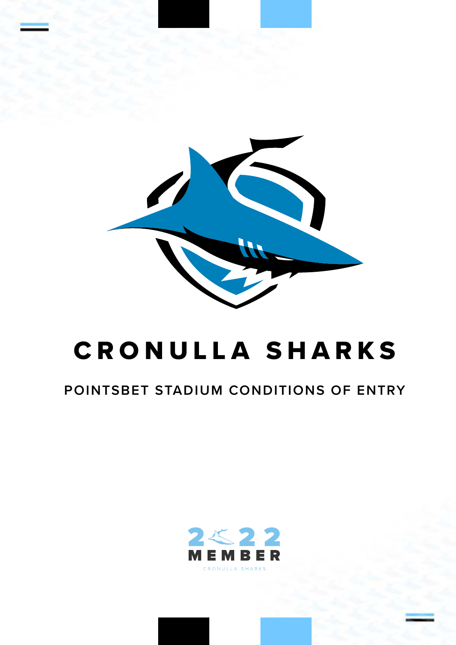

# CRONULLA SHARKS

# **POINTSBET STADIUM CONDITIONS OF ENTRY**

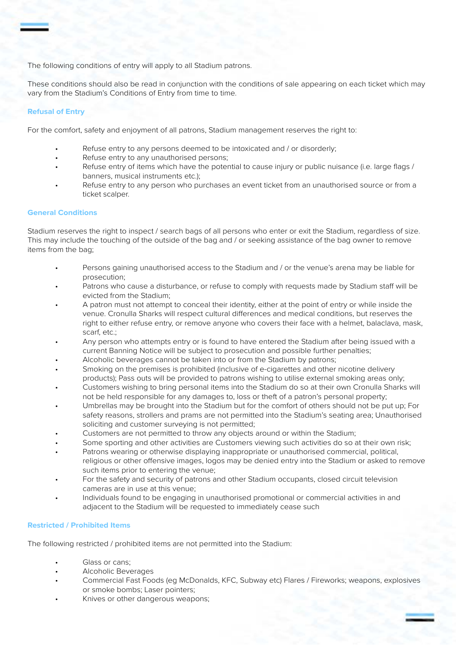The following conditions of entry will apply to all Stadium patrons.

These conditions should also be read in conjunction with the conditions of sale appearing on each ticket which may vary from the Stadium's Conditions of Entry from time to time.

# **Refusal of Entry**

For the comfort, safety and enjoyment of all patrons, Stadium management reserves the right to:

- Refuse entry to any persons deemed to be intoxicated and / or disorderly;
- Refuse entry to any unauthorised persons;
- Refuse entry of items which have the potential to cause injury or public nuisance (i.e. large flags / banners, musical instruments etc.);
- Refuse entry to any person who purchases an event ticket from an unauthorised source or from a ticket scalper.

# **General Conditions**

Stadium reserves the right to inspect / search bags of all persons who enter or exit the Stadium, regardless of size. This may include the touching of the outside of the bag and / or seeking assistance of the bag owner to remove items from the bag;

- Persons gaining unauthorised access to the Stadium and / or the venue's arena may be liable for prosecution;
- Patrons who cause a disturbance, or refuse to comply with requests made by Stadium staff will be evicted from the Stadium;
- A patron must not attempt to conceal their identity, either at the point of entry or while inside the venue. Cronulla Sharks will respect cultural differences and medical conditions, but reserves the right to either refuse entry, or remove anyone who covers their face with a helmet, balaclava, mask, scarf, etc.;
- Any person who attempts entry or is found to have entered the Stadium after being issued with a current Banning Notice will be subject to prosecution and possible further penalties;
- Alcoholic beverages cannot be taken into or from the Stadium by patrons;
- Smoking on the premises is prohibited (inclusive of e-cigarettes and other nicotine delivery products); Pass outs will be provided to patrons wishing to utilise external smoking areas only;
- Customers wishing to bring personal items into the Stadium do so at their own Cronulla Sharks will not be held responsible for any damages to, loss or theft of a patron's personal property;
- Umbrellas may be brought into the Stadium but for the comfort of others should not be put up; For safety reasons, strollers and prams are not permitted into the Stadium's seating area; Unauthorised soliciting and customer surveying is not permitted;
- Customers are not permitted to throw any objects around or within the Stadium;
- Some sporting and other activities are Customers viewing such activities do so at their own risk;
- Patrons wearing or otherwise displaying inappropriate or unauthorised commercial, political, religious or other offensive images, logos may be denied entry into the Stadium or asked to remove such items prior to entering the venue;
- For the safety and security of patrons and other Stadium occupants, closed circuit television cameras are in use at this venue;
- Individuals found to be engaging in unauthorised promotional or commercial activities in and adjacent to the Stadium will be requested to immediately cease such

# **Restricted / Prohibited Items**

The following restricted / prohibited items are not permitted into the Stadium:

- Glass or cans;
- Alcoholic Beverages
- Commercial Fast Foods (eg McDonalds, KFC, Subway etc) Flares / Fireworks; weapons, explosives or smoke bombs; Laser pointers;
- Knives or other dangerous weapons;